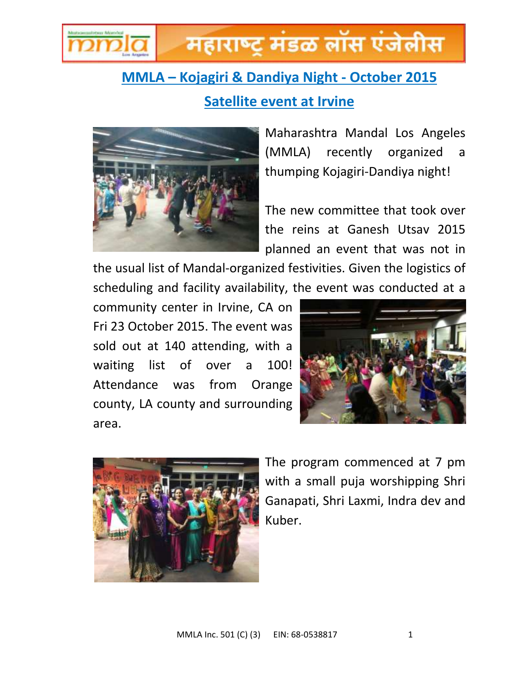

## महाराष्ट मंडळ लॉस एंजेलीस

## **MMLA – Kojagiri & Dandiya Night - October 2015 Satellite event at Irvine**



Maharashtra Mandal Los Angeles (MMLA) recently organized a thumping Kojagiri-Dandiya night!

The new committee that took over the reins at Ganesh Utsav 2015 planned an event that was not in

the usual list of Mandal-organized festivities. Given the logistics of scheduling and facility availability, the event was conducted at a

community center in Irvine, CA on Fri 23 October 2015. The event was sold out at 140 attending, with a waiting list of over a 100! Attendance was from Orange county, LA county and surrounding area.





The program commenced at 7 pm with a small puja worshipping Shri Ganapati, Shri Laxmi, Indra dev and Kuber.